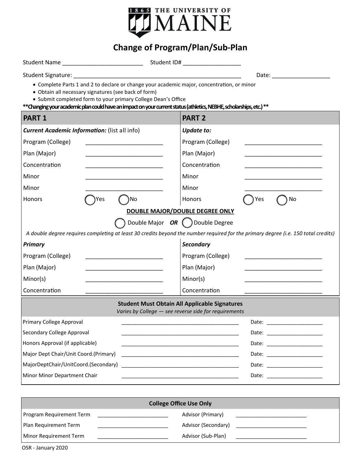

## **Change of Program/Plan/Sub-Plan**

Student Name \_\_\_\_\_\_\_\_\_\_\_\_\_\_\_\_\_\_\_\_\_\_\_\_\_ Student ID# \_\_\_\_\_\_\_\_\_\_\_\_\_\_\_\_\_\_

Student Signature: \_\_\_\_\_\_\_\_\_\_\_\_\_\_\_\_\_\_\_\_\_\_\_\_\_\_\_\_\_\_\_\_\_\_\_\_\_\_\_\_\_\_\_\_\_\_\_\_\_\_\_\_ Date: \_\_\_\_\_\_\_\_\_\_\_\_\_\_\_\_\_\_

Complete Parts 1 and 2 to declare or change your academic major, concentration, or minor

- Obtain all necessary signatures (see back of form)
- Submit completed form to your primary College Dean's Office

**\*\*Changing your academic plan could have an impact on your current status (athletics, NEBHE, scholarships, etc.) \*\***

| <b>PART 1</b>                                                                                                                             | <b>PART 2</b>                                                                                                                             |  |  |
|-------------------------------------------------------------------------------------------------------------------------------------------|-------------------------------------------------------------------------------------------------------------------------------------------|--|--|
| <b>Current Academic Information:</b> (list all info)                                                                                      | <b>Update to:</b>                                                                                                                         |  |  |
| Program (College)<br><u> 1990 - Johann Stein, mars an deus Frankryk (</u>                                                                 | Program (College)<br><u> 1990 - Johann John Stone, markin amerikan bisa di sebagai pertama dan personal dan personal dan personal dan</u> |  |  |
| Plan (Major)                                                                                                                              | Plan (Major)                                                                                                                              |  |  |
| Concentration                                                                                                                             | Concentration                                                                                                                             |  |  |
| Minor                                                                                                                                     | Minor                                                                                                                                     |  |  |
| Minor                                                                                                                                     | Minor                                                                                                                                     |  |  |
| )No<br>Honors<br>Yes                                                                                                                      | <b>No</b><br>Yes<br><b>Honors</b>                                                                                                         |  |  |
| DOUBLE MAJOR/DOUBLE DEGREE ONLY                                                                                                           |                                                                                                                                           |  |  |
| Double Major OR () Double Degree                                                                                                          |                                                                                                                                           |  |  |
| A double degree requires completing at least 30 credits beyond the number required for the primary degree (i.e. 150 total credits)        |                                                                                                                                           |  |  |
| <b>Primary</b>                                                                                                                            | <b>Secondary</b>                                                                                                                          |  |  |
| Program (College)<br><u> 1989 - Johann John Stone, markin amerikan bahasa dan berkembang dan berkembang dan bahasa dan berkembang dan</u> | Program (College)<br>the control of the control of the control of the control of the control of the control of                            |  |  |
| Plan (Major)                                                                                                                              | Plan (Major)                                                                                                                              |  |  |
| Minor(s)                                                                                                                                  | Minor(s)                                                                                                                                  |  |  |
| Concentration                                                                                                                             | Concentration                                                                                                                             |  |  |
| <b>Student Must Obtain All Applicable Signatures</b><br>Varies by College - see reverse side for requirements                             |                                                                                                                                           |  |  |
| Primary College Approval                                                                                                                  |                                                                                                                                           |  |  |
| Secondary College Approval                                                                                                                |                                                                                                                                           |  |  |
| Honors Approval (if applicable)                                                                                                           |                                                                                                                                           |  |  |
| Major Dept Chair/Unit Coord.(Primary)                                                                                                     | <u> 1989 - Johann Harry Harry Harry Harry Harry Harry Harry Harry Harry Harry Harry Harry Harry Harry Harry Harry</u>                     |  |  |
| MajorDeptChair/UnitCoord.(Secondary)                                                                                                      | Date: ______________________                                                                                                              |  |  |
| Minor Minor Department Chair                                                                                                              |                                                                                                                                           |  |  |

| <b>College Office Use Only</b>  |  |                     |  |
|---------------------------------|--|---------------------|--|
| <b>Program Requirement Term</b> |  | Advisor (Primary)   |  |
| Plan Requirement Term           |  | Advisor (Secondary) |  |
| Minor Requirement Term          |  | Advisor (Sub-Plan)  |  |